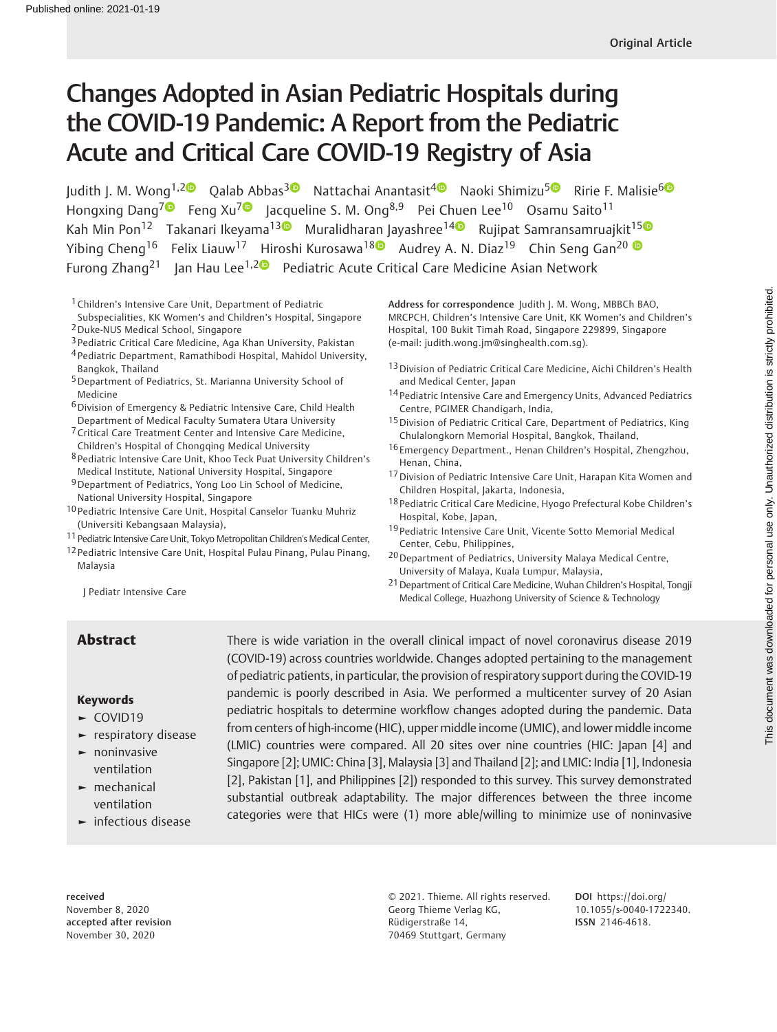# Changes Adopted in Asian Pediatric Hospitals during the COVID-19 Pandemic: A Report from the Pediatric Acute and Critical Care COVID-19 Registry of Asia

Judith J. M. Wong<sup>1,[2](https://orcid.org/0000-0002-7987-4303)0</sup> Qalab Abbas<sup>3</sup> Nattachai Anantasit<sup>4</sup> Naoki Shimizu<sup>[5](https://orcid.org/0000-0002-1892-5795)0</sup> Ririe F. Malisie<sup>60</sup> Hongxing Dang<sup>[7](https://orcid.org/0000-0002-3095-2147)</sup> Feng Xu<sup>7</sup> Jacqueline S. M. Ong<sup>8,9</sup> Pei Chuen Lee<sup>10</sup> Osamu Saito<sup>11</sup> Kah Min Pon<sup>12</sup> Takanari Ikeyama<sup>130</sup> Muralidharan Jayashree<sup>1[4](https://orcid.org/0000-0002-6149-1355)0</sup> Rujipat Samransamruajkit<sup>150</sup> Yibing Cheng<sup>16</sup> Felix Liauw<sup>17</sup> Hiroshi Kurosawa<sup>1[8](https://orcid.org/0000-0002-0532-1941)</sup> Audrey A. N. Diaz<sup>19</sup> Chin Seng Gan<sup>20</sup> Furong Zhang<sup>[2](https://orcid.org/0000-0002-8430-4217)1</sup> Jan Hau Lee<sup>1,20</sup> Pediatric Acute Critical Care Medicine Asian Network

1Children's Intensive Care Unit, Department of Pediatric Subspecialities, KK Women's and Children's Hospital, Singapore 2Duke-NUS Medical School, Singapore

3 Pediatric Critical Care Medicine, Aga Khan University, Pakistan 4 Pediatric Department, Ramathibodi Hospital, Mahidol University, Bangkok, Thailand

- 5Department of Pediatrics, St. Marianna University School of Medicine
- 6Division of Emergency & Pediatric Intensive Care, Child Health Department of Medical Faculty Sumatera Utara University
- <sup>7</sup> Critical Care Treatment Center and Intensive Care Medicine, Children's Hospital of Chongqing Medical University
- 8 Pediatric Intensive Care Unit, Khoo Teck Puat University Children's Medical Institute, National University Hospital, Singapore
- 9Department of Pediatrics, Yong Loo Lin School of Medicine, National University Hospital, Singapore
- 10 Pediatric Intensive Care Unit, Hospital Canselor Tuanku Muhriz (Universiti Kebangsaan Malaysia),
- 11 Pediatric Intensive Care Unit, Tokyo Metropolitan Children's Medical Center,
- 12 Pediatric Intensive Care Unit, Hospital Pulau Pinang, Pulau Pinang, Malaysia

Address for correspondence Judith J. M. Wong, MBBCh BAO, MRCPCH, Children's Intensive Care Unit, KK Women's and Children's Hospital, 100 Bukit Timah Road, Singapore 229899, Singapore (e-mail: [judith.wong.jm@singhealth.com.sg](mailto:judith.wong.jm@singhealth.com.sg)).

- 13 Division of Pediatric Critical Care Medicine, Aichi Children's Health and Medical Center, Japan
- <sup>14</sup> Pediatric Intensive Care and Emergency Units, Advanced Pediatrics Centre, PGIMER Chandigarh, India,
- <sup>15</sup> Division of Pediatric Critical Care, Department of Pediatrics, King Chulalongkorn Memorial Hospital, Bangkok, Thailand,
- 16 Emergency Department., Henan Children's Hospital, Zhengzhou, Henan, China,
- 17 Division of Pediatric Intensive Care Unit, Harapan Kita Women and Children Hospital, Jakarta, Indonesia,
- 18 Pediatric Critical Care Medicine, Hyogo Prefectural Kobe Children's Hospital, Kobe, Japan,
- 19 Pediatric Intensive Care Unit, Vicente Sotto Memorial Medical Center, Cebu, Philippines,
- 20Department of Pediatrics, University Malaya Medical Centre, University of Malaya, Kuala Lumpur, Malaysia,
- 21Department of Critical Care Medicine, Wuhan Children's Hospital, Tongji Medical College, Huazhong University of Science & Technology

J Pediatr Intensive Care

#### Keywords

- ► COVID19
- ► respiratory disease
- ► noninvasive ventilation
- ► mechanical ventilation
- ► infectious disease

Abstract There is wide variation in the overall clinical impact of novel coronavirus disease 2019 (COVID-19) across countries worldwide. Changes adopted pertaining to the management of pediatric patients, in particular, the provision of respiratory support during the COVID-19 pandemic is poorly described in Asia. We performed a multicenter survey of 20 Asian pediatric hospitals to determine workflow changes adopted during the pandemic. Data from centers of high-income (HIC), upper middle income (UMIC), and lower middle income (LMIC) countries were compared. All 20 sites over nine countries (HIC: Japan [4] and Singapore [2]; UMIC: China [3], Malaysia [3] and Thailand [2]; and LMIC: India [1], Indonesia [2], Pakistan [1], and Philippines [2]) responded to this survey. This survey demonstrated substantial outbreak adaptability. The major differences between the three income categories were that HICs were (1) more able/willing to minimize use of noninvasive

received November 8, 2020 accepted after revision November 30, 2020

© 2021. Thieme. All rights reserved. Georg Thieme Verlag KG, Rüdigerstraße 14, 70469 Stuttgart, Germany

DOI [https://doi.org/](https://doi.org/10.1055/s-0040-1722340) [10.1055/s-0040-1722340](https://doi.org/10.1055/s-0040-1722340). ISSN 2146-4618.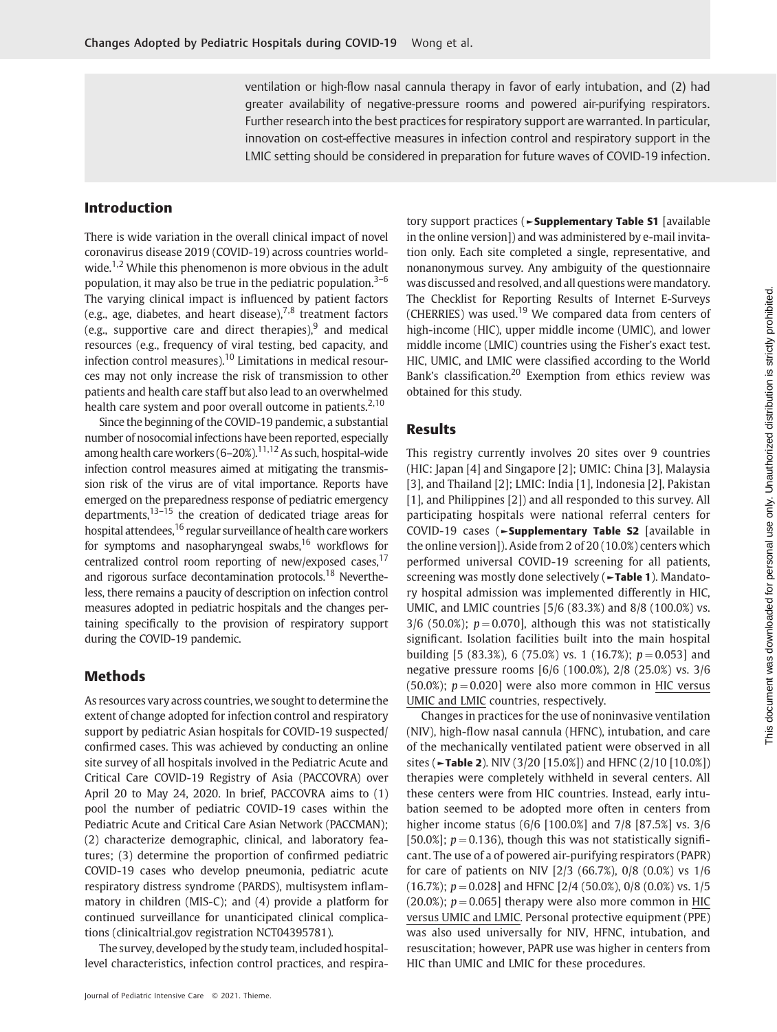ventilation or high-flow nasal cannula therapy in favor of early intubation, and (2) had greater availability of negative-pressure rooms and powered air-purifying respirators. Further research into the best practices for respiratory support are warranted. In particular, innovation on cost-effective measures in infection control and respiratory support in the LMIC setting should be considered in preparation for future waves of COVID-19 infection.

### Introduction

There is wide variation in the overall clinical impact of novel coronavirus disease 2019 (COVID-19) across countries worldwide.<sup>1,2</sup> While this phenomenon is more obvious in the adult population, it may also be true in the pediatric population. $3-6$ The varying clinical impact is influenced by patient factors (e.g., age, diabetes, and heart disease), $^{7,8}$  treatment factors (e.g., supportive care and direct therapies), and medical resources (e.g., frequency of viral testing, bed capacity, and infection control measures).<sup>10</sup> Limitations in medical resources may not only increase the risk of transmission to other patients and health care staff but also lead to an overwhelmed health care system and poor overall outcome in patients.<sup>2,10</sup>

Since the beginning of the COVID-19 pandemic, a substantial number of nosocomial infections have been reported, especially among health care workers  $(6-20\%)$ <sup>11,12</sup> As such, hospital-wide infection control measures aimed at mitigating the transmission risk of the virus are of vital importance. Reports have emerged on the preparedness response of pediatric emergency departments,13–<sup>15</sup> the creation of dedicated triage areas for hospital attendees,<sup>16</sup> regular surveillance of health care workers for symptoms and nasopharyngeal swabs,<sup>16</sup> workflows for centralized control room reporting of new/exposed cases,  $17$ and rigorous surface decontamination protocols.<sup>18</sup> Nevertheless, there remains a paucity of description on infection control measures adopted in pediatric hospitals and the changes pertaining specifically to the provision of respiratory support during the COVID-19 pandemic.

# Methods

As resources vary across countries, we sought to determine the extent of change adopted for infection control and respiratory support by pediatric Asian hospitals for COVID-19 suspected/ confirmed cases. This was achieved by conducting an online site survey of all hospitals involved in the Pediatric Acute and Critical Care COVID-19 Registry of Asia (PACCOVRA) over April 20 to May 24, 2020. In brief, PACCOVRA aims to (1) pool the number of pediatric COVID-19 cases within the Pediatric Acute and Critical Care Asian Network (PACCMAN); (2) characterize demographic, clinical, and laboratory features; (3) determine the proportion of confirmed pediatric COVID-19 cases who develop pneumonia, pediatric acute respiratory distress syndrome (PARDS), multisystem inflammatory in children (MIS-C); and (4) provide a platform for continued surveillance for unanticipated clinical complications (clinicaltrial.gov registration NCT04395781).

The survey, developed by the study team, included hospitallevel characteristics, infection control practices, and respira-

Journal of Pediatric Intensive Care © 2021. Thieme.

tory support practices (►Supplementary Table S1 [available in the online version]) and was administered by e-mail invitation only. Each site completed a single, representative, and nonanonymous survey. Any ambiguity of the questionnaire was discussed and resolved, and all questions were mandatory. The Checklist for Reporting Results of Internet E-Surveys (CHERRIES) was used.<sup>19</sup> We compared data from centers of high-income (HIC), upper middle income (UMIC), and lower middle income (LMIC) countries using the Fisher's exact test. HIC, UMIC, and LMIC were classified according to the World Bank's classification.<sup>20</sup> Exemption from ethics review was obtained for this study.

#### Results

This registry currently involves 20 sites over 9 countries (HIC: Japan [4] and Singapore [2]; UMIC: China [3], Malaysia [3], and Thailand [2]; LMIC: India [1], Indonesia [2], Pakistan [1], and Philippines [2]) and all responded to this survey. All participating hospitals were national referral centers for COVID-19 cases (►Supplementary Table S2 [available in the online version]). Aside from 2 of 20 (10.0%) centers which performed universal COVID-19 screening for all patients, screening was mostly done selectively (**Fable 1**). Mandatory hospital admission was implemented differently in HIC, UMIC, and LMIC countries [5/6 (83.3%) and 8/8 (100.0%) vs. 3/6 (50.0%);  $p = 0.070$ ], although this was not statistically significant. Isolation facilities built into the main hospital building [5 (83.3%), 6 (75.0%) vs. 1 (16.7%);  $p = 0.053$ ] and negative pressure rooms [6/6 (100.0%), 2/8 (25.0%) vs. 3/6 (50.0%);  $p = 0.020$ ] were also more common in HIC versus UMIC and LMIC countries, respectively.

Changes in practices for the use of noninvasive ventilation (NIV), high-flow nasal cannula (HFNC), intubation, and care of the mechanically ventilated patient were observed in all sites (►Table 2). NIV (3/20 [15.0%]) and HFNC (2/10 [10.0%]) therapies were completely withheld in several centers. All these centers were from HIC countries. Instead, early intubation seemed to be adopted more often in centers from higher income status (6/6 [100.0%] and 7/8 [87.5%] vs. 3/6 [50.0%];  $p = 0.136$ ), though this was not statistically significant. The use of a of powered air-purifying respirators (PAPR) for care of patients on NIV [2/3 (66.7%), 0/8 (0.0%) vs 1/6  $(16.7\%)$ ;  $p = 0.028$ ] and HFNC [2/4 (50.0%), 0/8 (0.0%) vs. 1/5 (20.0%);  $p = 0.065$ ] therapy were also more common in HIC versus UMIC and LMIC. Personal protective equipment (PPE) was also used universally for NIV, HFNC, intubation, and resuscitation; however, PAPR use was higher in centers from HIC than UMIC and LMIC for these procedures.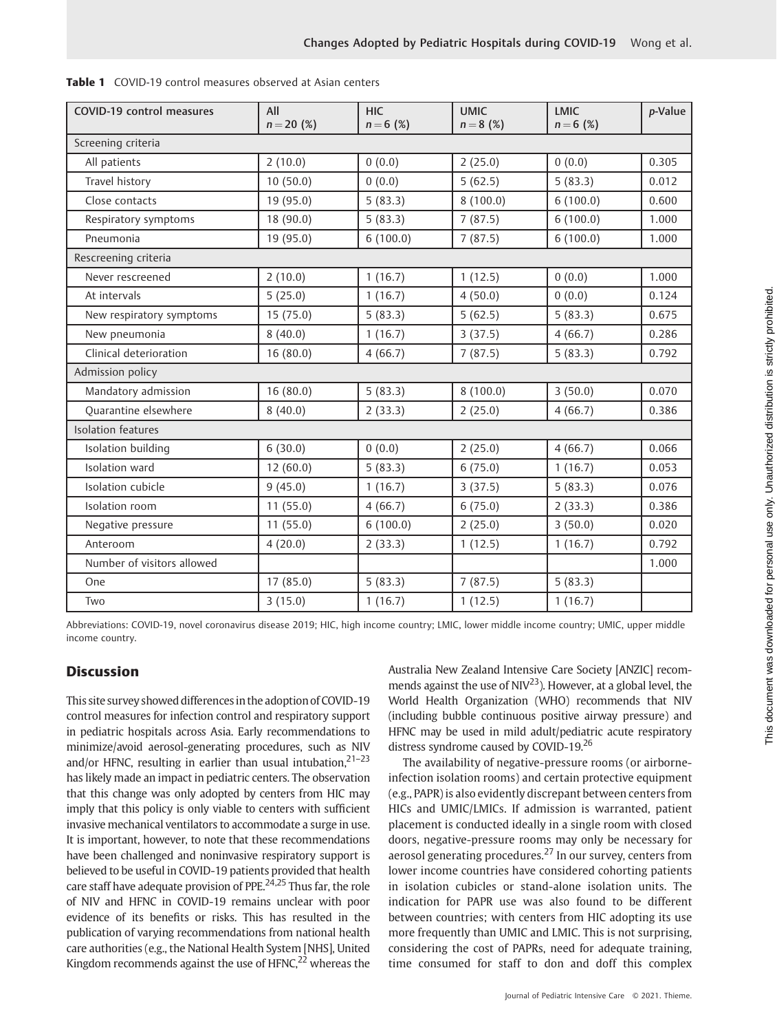| COVID-19 control measures  | All<br>$n = 20(%)$ | <b>HIC</b><br>$n = 6$ (%) | <b>UMIC</b><br>$n = 8$ (%) | <b>LMIC</b><br>$n = 6$ (%) | p-Value |  |  |  |  |
|----------------------------|--------------------|---------------------------|----------------------------|----------------------------|---------|--|--|--|--|
| Screening criteria         |                    |                           |                            |                            |         |  |  |  |  |
| All patients               | 2(10.0)            | 0(0.0)                    | 2(25.0)                    | 0(0.0)                     | 0.305   |  |  |  |  |
| Travel history             | 10(50.0)           | 0(0.0)                    | 5(62.5)                    | 5(83.3)                    | 0.012   |  |  |  |  |
| Close contacts             | 19 (95.0)          | 5(83.3)                   | 8(100.0)                   | 6(100.0)                   | 0.600   |  |  |  |  |
| Respiratory symptoms       | 18 (90.0)          | 5(83.3)                   | 7(87.5)                    | 6(100.0)                   | 1.000   |  |  |  |  |
| Pneumonia                  | 19 (95.0)          | 6(100.0)                  | 7(87.5)                    | 6(100.0)                   | 1.000   |  |  |  |  |
| Rescreening criteria       |                    |                           |                            |                            |         |  |  |  |  |
| Never rescreened           | 2(10.0)            | 1(16.7)                   | 1(12.5)                    | 0(0.0)                     | 1.000   |  |  |  |  |
| At intervals               | 5(25.0)            | 1(16.7)                   | 4(50.0)                    | 0(0.0)                     | 0.124   |  |  |  |  |
| New respiratory symptoms   | 15(75.0)           | 5(83.3)                   | 5(62.5)                    | 5(83.3)                    | 0.675   |  |  |  |  |
| New pneumonia              | 8(40.0)            | 1(16.7)                   | 3(37.5)                    | 4(66.7)                    | 0.286   |  |  |  |  |
| Clinical deterioration     | 16(80.0)           | 4(66.7)                   | 7(87.5)                    | 5(83.3)                    | 0.792   |  |  |  |  |
| Admission policy           |                    |                           |                            |                            |         |  |  |  |  |
| Mandatory admission        | 16(80.0)           | 5(83.3)                   | 8(100.0)                   | 3(50.0)                    | 0.070   |  |  |  |  |
| Quarantine elsewhere       | 8(40.0)            | 2(33.3)                   | 2(25.0)                    | 4(66.7)                    | 0.386   |  |  |  |  |
| <b>Isolation features</b>  |                    |                           |                            |                            |         |  |  |  |  |
| Isolation building         | 6(30.0)            | 0(0.0)                    | 2(25.0)                    | 4(66.7)                    | 0.066   |  |  |  |  |
| Isolation ward             | 12(60.0)           | 5(83.3)                   | 6(75.0)                    | 1(16.7)                    | 0.053   |  |  |  |  |
| Isolation cubicle          | 9(45.0)            | 1(16.7)                   | 3(37.5)                    | 5(83.3)                    | 0.076   |  |  |  |  |
| Isolation room             | 11(55.0)           | 4(66.7)                   | 6(75.0)                    | 2(33.3)                    | 0.386   |  |  |  |  |
| Negative pressure          | 11(55.0)           | 6(100.0)                  | 2(25.0)                    | 3(50.0)                    | 0.020   |  |  |  |  |
| Anteroom                   | 4(20.0)            | 2(33.3)                   | 1(12.5)                    | 1(16.7)                    | 0.792   |  |  |  |  |
| Number of visitors allowed |                    |                           |                            |                            | 1.000   |  |  |  |  |
| One                        | 17 (85.0)          | 5(83.3)                   | 7(87.5)                    | 5(83.3)                    |         |  |  |  |  |
| Two                        | 3(15.0)            | 1(16.7)                   | 1(12.5)                    | 1(16.7)                    |         |  |  |  |  |

| <b>Table 1</b> COVID-19 control measures observed at Asian centers |
|--------------------------------------------------------------------|
|--------------------------------------------------------------------|

Abbreviations: COVID-19, novel coronavirus disease 2019; HIC, high income country; LMIC, lower middle income country; UMIC, upper middle income country.

### **Discussion**

This site survey showed differencesin the adoption of COVID-19 control measures for infection control and respiratory support in pediatric hospitals across Asia. Early recommendations to minimize/avoid aerosol-generating procedures, such as NIV and/or HFNC, resulting in earlier than usual intubation, $21-23$ has likely made an impact in pediatric centers. The observation that this change was only adopted by centers from HIC may imply that this policy is only viable to centers with sufficient invasive mechanical ventilators to accommodate a surge in use. It is important, however, to note that these recommendations have been challenged and noninvasive respiratory support is believed to be useful in COVID-19 patients provided that health care staff have adequate provision of PPE.<sup>24,25</sup> Thus far, the role of NIV and HFNC in COVID-19 remains unclear with poor evidence of its benefits or risks. This has resulted in the publication of varying recommendations from national health care authorities (e.g., the National Health System [NHS], United Kingdom recommends against the use of  $HFNC<sup>22</sup>$  whereas the Australia New Zealand Intensive Care Society [ANZIC] recommends against the use of  $NIV^{23}$ ). However, at a global level, the World Health Organization (WHO) recommends that NIV (including bubble continuous positive airway pressure) and HFNC may be used in mild adult/pediatric acute respiratory distress syndrome caused by COVID-19.<sup>26</sup>

The availability of negative-pressure rooms (or airborneinfection isolation rooms) and certain protective equipment (e.g., PAPR) is also evidently discrepant between centers from HICs and UMIC/LMICs. If admission is warranted, patient placement is conducted ideally in a single room with closed doors, negative-pressure rooms may only be necessary for aerosol generating procedures.<sup>27</sup> In our survey, centers from lower income countries have considered cohorting patients in isolation cubicles or stand-alone isolation units. The indication for PAPR use was also found to be different between countries; with centers from HIC adopting its use more frequently than UMIC and LMIC. This is not surprising, considering the cost of PAPRs, need for adequate training, time consumed for staff to don and doff this complex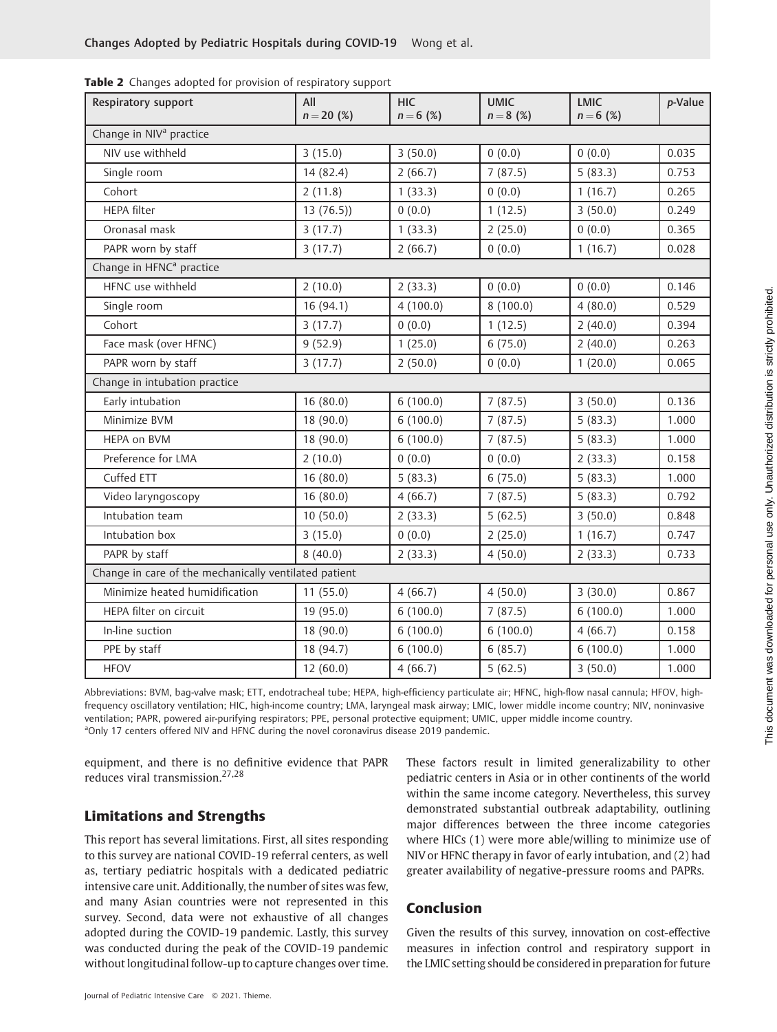| Respiratory support                                   | All<br>$n = 20$ (%) | <b>HIC</b><br>$n = 6$ (%) | <b>UMIC</b><br>$n = 8$ (%) | <b>LMIC</b><br>$n = 6$ (%) | p-Value |
|-------------------------------------------------------|---------------------|---------------------------|----------------------------|----------------------------|---------|
| Change in NIV <sup>a</sup> practice                   |                     |                           |                            |                            |         |
| NIV use withheld                                      | 3(15.0)             | 3(50.0)                   | 0(0.0)                     | 0(0.0)                     | 0.035   |
| Single room                                           | 14 (82.4)           | 2(66.7)                   | 7(87.5)                    | 5(83.3)                    | 0.753   |
| Cohort                                                | 2(11.8)             | 1(33.3)                   | 0(0.0)                     | 1(16.7)                    | 0.265   |
| HEPA filter                                           | 13(76.5)            | 0(0.0)                    | 1(12.5)                    | 3(50.0)                    | 0.249   |
| Oronasal mask                                         | 3(17.7)             | 1(33.3)                   | 2(25.0)                    | 0(0.0)                     | 0.365   |
| PAPR worn by staff                                    | 3(17.7)             | 2(66.7)                   | 0(0.0)                     | 1(16.7)                    | 0.028   |
| Change in HFNC <sup>a</sup> practice                  |                     |                           |                            |                            |         |
| HFNC use withheld                                     | 2(10.0)             | 2(33.3)                   | 0(0.0)                     | 0(0.0)                     | 0.146   |
| Single room                                           | 16(94.1)            | 4(100.0)                  | 8(100.0)                   | 4(80.0)                    | 0.529   |
| Cohort                                                | 3(17.7)             | 0(0.0)                    | 1(12.5)                    | 2(40.0)                    | 0.394   |
| Face mask (over HFNC)                                 | 9(52.9)             | 1(25.0)                   | 6(75.0)                    | 2(40.0)                    | 0.263   |
| PAPR worn by staff                                    | 3(17.7)             | 2(50.0)                   | 0(0.0)                     | 1(20.0)                    | 0.065   |
| Change in intubation practice                         |                     |                           |                            |                            |         |
| Early intubation                                      | 16(80.0)            | 6(100.0)                  | 7(87.5)                    | 3(50.0)                    | 0.136   |
| Minimize BVM                                          | 18 (90.0)           | 6(100.0)                  | 7(87.5)                    | 5(83.3)                    | 1.000   |
| HEPA on BVM                                           | 18 (90.0)           | 6(100.0)                  | 7(87.5)                    | 5(83.3)                    | 1.000   |
| Preference for LMA                                    | 2(10.0)             | 0(0.0)                    | 0(0.0)                     | 2(33.3)                    | 0.158   |
| Cuffed ETT                                            | 16(80.0)            | 5(83.3)                   | 6(75.0)                    | 5(83.3)                    | 1.000   |
| Video laryngoscopy                                    | 16(80.0)            | 4(66.7)                   | 7(87.5)                    | 5(83.3)                    | 0.792   |
| Intubation team                                       | 10(50.0)            | 2(33.3)                   | 5(62.5)                    | 3(50.0)                    | 0.848   |
| Intubation box                                        | 3(15.0)             | 0(0.0)                    | 2(25.0)                    | 1(16.7)                    | 0.747   |
| PAPR by staff                                         | 8(40.0)             | 2(33.3)                   | 4(50.0)                    | 2(33.3)                    | 0.733   |
| Change in care of the mechanically ventilated patient |                     |                           |                            |                            |         |
| Minimize heated humidification                        | 11(55.0)            | 4(66.7)                   | 4(50.0)                    | 3(30.0)                    | 0.867   |
| HEPA filter on circuit                                | 19 (95.0)           | 6(100.0)                  | 7(87.5)                    | 6(100.0)                   | 1.000   |
| In-line suction                                       | 18 (90.0)           | 6(100.0)                  | 6(100.0)                   | 4(66.7)                    | 0.158   |
| PPE by staff                                          | 18 (94.7)           | 6(100.0)                  | 6(85.7)                    | 6(100.0)                   | 1.000   |
| <b>HFOV</b>                                           | 12(60.0)            | 4(66.7)                   | 5(62.5)                    | 3(50.0)                    | 1.000   |

Table 2 Changes adopted for provision of respiratory support

Abbreviations: BVM, bag-valve mask; ETT, endotracheal tube; HEPA, high-efficiency particulate air; HFNC, high-flow nasal cannula; HFOV, highfrequency oscillatory ventilation; HIC, high-income country; LMA, laryngeal mask airway; LMIC, lower middle income country; NIV, noninvasive ventilation; PAPR, powered air-purifying respirators; PPE, personal protective equipment; UMIC, upper middle income country. <sup>a</sup>Only 17 centers offered NIV and HFNC during the novel coronavirus disease 2019 pandemic.

equipment, and there is no definitive evidence that PAPR reduces viral transmission.27,28

# Limitations and Strengths

This report has several limitations. First, all sites responding to this survey are national COVID-19 referral centers, as well as, tertiary pediatric hospitals with a dedicated pediatric intensive care unit. Additionally, the number of sites was few, and many Asian countries were not represented in this survey. Second, data were not exhaustive of all changes adopted during the COVID-19 pandemic. Lastly, this survey was conducted during the peak of the COVID-19 pandemic without longitudinal follow-up to capture changes over time.

These factors result in limited generalizability to other pediatric centers in Asia or in other continents of the world within the same income category. Nevertheless, this survey demonstrated substantial outbreak adaptability, outlining major differences between the three income categories where HICs (1) were more able/willing to minimize use of NIV or HFNC therapy in favor of early intubation, and (2) had greater availability of negative-pressure rooms and PAPRs.

# Conclusion

Given the results of this survey, innovation on cost-effective measures in infection control and respiratory support in the LMIC setting should be considered in preparation for future